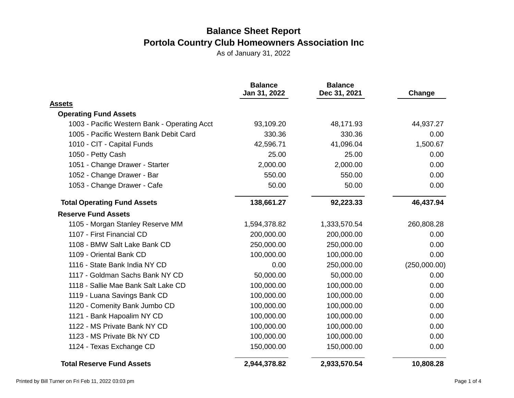|                                              | <b>Balance</b><br>Jan 31, 2022 | <b>Balance</b><br>Dec 31, 2021 | Change       |
|----------------------------------------------|--------------------------------|--------------------------------|--------------|
| <b>Assets</b>                                |                                |                                |              |
| <b>Operating Fund Assets</b>                 |                                |                                |              |
| 1003 - Pacific Western Bank - Operating Acct | 93,109.20                      | 48,171.93                      | 44,937.27    |
| 1005 - Pacific Western Bank Debit Card       | 330.36                         | 330.36                         | 0.00         |
| 1010 - CIT - Capital Funds                   | 42,596.71                      | 41,096.04                      | 1,500.67     |
| 1050 - Petty Cash                            | 25.00                          | 25.00                          | 0.00         |
| 1051 - Change Drawer - Starter               | 2,000.00                       | 2,000.00                       | 0.00         |
| 1052 - Change Drawer - Bar                   | 550.00                         | 550.00                         | 0.00         |
| 1053 - Change Drawer - Cafe                  | 50.00                          | 50.00                          | 0.00         |
| <b>Total Operating Fund Assets</b>           | 138,661.27                     | 92,223.33                      | 46,437.94    |
| <b>Reserve Fund Assets</b>                   |                                |                                |              |
| 1105 - Morgan Stanley Reserve MM             | 1,594,378.82                   | 1,333,570.54                   | 260,808.28   |
| 1107 - First Financial CD                    | 200,000.00                     | 200,000.00                     | 0.00         |
| 1108 - BMW Salt Lake Bank CD                 | 250,000.00                     | 250,000.00                     | 0.00         |
| 1109 - Oriental Bank CD                      | 100,000.00                     | 100,000.00                     | 0.00         |
| 1116 - State Bank India NY CD                | 0.00                           | 250,000.00                     | (250,000.00) |
| 1117 - Goldman Sachs Bank NY CD              | 50,000.00                      | 50,000.00                      | 0.00         |
| 1118 - Sallie Mae Bank Salt Lake CD          | 100,000.00                     | 100,000.00                     | 0.00         |
| 1119 - Luana Savings Bank CD                 | 100,000.00                     | 100,000.00                     | 0.00         |
| 1120 - Comenity Bank Jumbo CD                | 100,000.00                     | 100,000.00                     | 0.00         |
| 1121 - Bank Hapoalim NY CD                   | 100,000.00                     | 100,000.00                     | 0.00         |
| 1122 - MS Private Bank NY CD                 | 100,000.00                     | 100,000.00                     | 0.00         |
| 1123 - MS Private Bk NY CD                   | 100,000.00                     | 100,000.00                     | 0.00         |
| 1124 - Texas Exchange CD                     | 150,000.00                     | 150,000.00                     | 0.00         |
| <b>Total Reserve Fund Assets</b>             | 2,944,378.82                   | 2,933,570.54                   | 10,808.28    |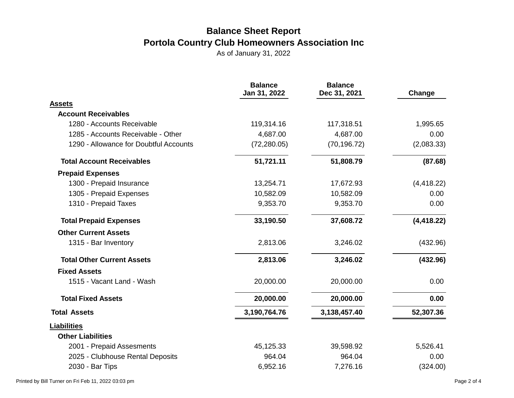|                                        | <b>Balance</b><br>Jan 31, 2022 | <b>Balance</b><br>Dec 31, 2021 | Change      |
|----------------------------------------|--------------------------------|--------------------------------|-------------|
| <b>Assets</b>                          |                                |                                |             |
| <b>Account Receivables</b>             |                                |                                |             |
| 1280 - Accounts Receivable             | 119,314.16                     | 117,318.51                     | 1,995.65    |
| 1285 - Accounts Receivable - Other     | 4,687.00                       | 4,687.00                       | 0.00        |
| 1290 - Allowance for Doubtful Accounts | (72, 280.05)                   | (70, 196.72)                   | (2,083.33)  |
| <b>Total Account Receivables</b>       | 51,721.11                      | 51,808.79                      | (87.68)     |
| <b>Prepaid Expenses</b>                |                                |                                |             |
| 1300 - Prepaid Insurance               | 13,254.71                      | 17,672.93                      | (4, 418.22) |
| 1305 - Prepaid Expenses                | 10,582.09                      | 10,582.09                      | 0.00        |
| 1310 - Prepaid Taxes                   | 9,353.70                       | 9,353.70                       | 0.00        |
| <b>Total Prepaid Expenses</b>          | 33,190.50                      | 37,608.72                      | (4, 418.22) |
| <b>Other Current Assets</b>            |                                |                                |             |
| 1315 - Bar Inventory                   | 2,813.06                       | 3,246.02                       | (432.96)    |
| <b>Total Other Current Assets</b>      | 2,813.06                       | 3,246.02                       | (432.96)    |
| <b>Fixed Assets</b>                    |                                |                                |             |
| 1515 - Vacant Land - Wash              | 20,000.00                      | 20,000.00                      | 0.00        |
| <b>Total Fixed Assets</b>              | 20,000.00                      | 20,000.00                      | 0.00        |
| <b>Total Assets</b>                    | 3,190,764.76                   | 3,138,457.40                   | 52,307.36   |
| <b>Liabilities</b>                     |                                |                                |             |
| <b>Other Liabilities</b>               |                                |                                |             |
| 2001 - Prepaid Assesments              | 45,125.33                      | 39,598.92                      | 5,526.41    |
| 2025 - Clubhouse Rental Deposits       | 964.04                         | 964.04                         | 0.00        |
| 2030 - Bar Tips                        | 6,952.16                       | 7,276.16                       | (324.00)    |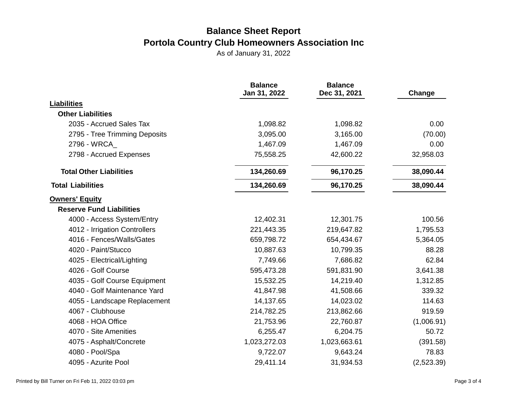|                                 | <b>Balance</b><br>Jan 31, 2022 | <b>Balance</b><br>Dec 31, 2021 | Change     |
|---------------------------------|--------------------------------|--------------------------------|------------|
| <b>Liabilities</b>              |                                |                                |            |
| <b>Other Liabilities</b>        |                                |                                |            |
| 2035 - Accrued Sales Tax        | 1,098.82                       | 1,098.82                       | 0.00       |
| 2795 - Tree Trimming Deposits   | 3,095.00                       | 3,165.00                       | (70.00)    |
| 2796 - WRCA_                    | 1,467.09                       | 1,467.09                       | 0.00       |
| 2798 - Accrued Expenses         | 75,558.25                      | 42,600.22                      | 32,958.03  |
| <b>Total Other Liabilities</b>  | 134,260.69                     | 96,170.25                      | 38,090.44  |
| <b>Total Liabilities</b>        | 134,260.69                     | 96,170.25                      | 38,090.44  |
| <b>Owners' Equity</b>           |                                |                                |            |
| <b>Reserve Fund Liabilities</b> |                                |                                |            |
| 4000 - Access System/Entry      | 12,402.31                      | 12,301.75                      | 100.56     |
| 4012 - Irrigation Controllers   | 221,443.35                     | 219,647.82                     | 1,795.53   |
| 4016 - Fences/Walls/Gates       | 659,798.72                     | 654,434.67                     | 5,364.05   |
| 4020 - Paint/Stucco             | 10,887.63                      | 10,799.35                      | 88.28      |
| 4025 - Electrical/Lighting      | 7,749.66                       | 7,686.82                       | 62.84      |
| 4026 - Golf Course              | 595,473.28                     | 591,831.90                     | 3,641.38   |
| 4035 - Golf Course Equipment    | 15,532.25                      | 14,219.40                      | 1,312.85   |
| 4040 - Golf Maintenance Yard    | 41,847.98                      | 41,508.66                      | 339.32     |
| 4055 - Landscape Replacement    | 14,137.65                      | 14,023.02                      | 114.63     |
| 4067 - Clubhouse                | 214,782.25                     | 213,862.66                     | 919.59     |
| 4068 - HOA Office               | 21,753.96                      | 22,760.87                      | (1,006.91) |
| 4070 - Site Amenities           | 6,255.47                       | 6,204.75                       | 50.72      |
| 4075 - Asphalt/Concrete         | 1,023,272.03                   | 1,023,663.61                   | (391.58)   |
| 4080 - Pool/Spa                 | 9,722.07                       | 9,643.24                       | 78.83      |
| 4095 - Azurite Pool             | 29,411.14                      | 31,934.53                      | (2,523.39) |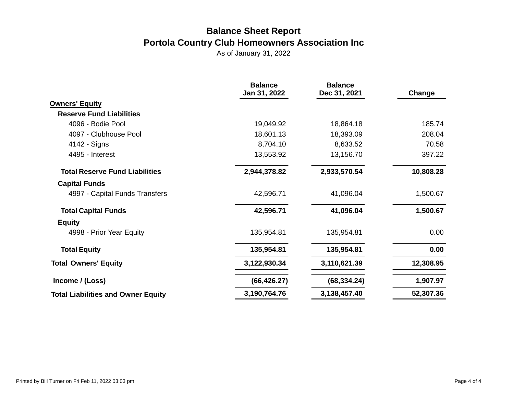|                                           | <b>Balance</b><br>Jan 31, 2022 | <b>Balance</b><br>Dec 31, 2021 | Change    |
|-------------------------------------------|--------------------------------|--------------------------------|-----------|
| <b>Owners' Equity</b>                     |                                |                                |           |
| <b>Reserve Fund Liabilities</b>           |                                |                                |           |
| 4096 - Bodie Pool                         | 19,049.92                      | 18,864.18                      | 185.74    |
| 4097 - Clubhouse Pool                     | 18,601.13                      | 18,393.09                      | 208.04    |
| 4142 - Signs                              | 8,704.10                       | 8,633.52                       | 70.58     |
| 4495 - Interest                           | 13,553.92                      | 13,156.70                      | 397.22    |
| <b>Total Reserve Fund Liabilities</b>     | 2,944,378.82                   | 2,933,570.54                   | 10,808.28 |
| <b>Capital Funds</b>                      |                                |                                |           |
| 4997 - Capital Funds Transfers            | 42,596.71                      | 41,096.04                      | 1,500.67  |
| <b>Total Capital Funds</b>                | 42,596.71                      | 41,096.04                      | 1,500.67  |
| <b>Equity</b>                             |                                |                                |           |
| 4998 - Prior Year Equity                  | 135,954.81                     | 135,954.81                     | 0.00      |
| <b>Total Equity</b>                       | 135,954.81                     | 135,954.81                     | 0.00      |
| <b>Total Owners' Equity</b>               | 3,122,930.34                   | 3,110,621.39                   | 12,308.95 |
| Income / (Loss)                           | (66, 426.27)                   | (68, 334.24)                   | 1,907.97  |
| <b>Total Liabilities and Owner Equity</b> | 3,190,764.76                   | 3,138,457.40                   | 52,307.36 |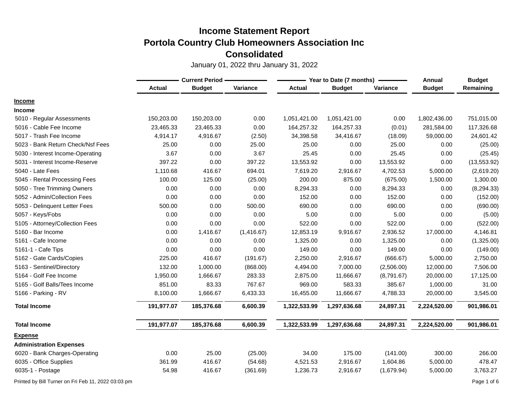January 01, 2022 thru January 31, 2022

|                                   |               | <b>Current Period -</b> |            |               | Year to Date (7 months) |            | Annual        | <b>Budget</b> |
|-----------------------------------|---------------|-------------------------|------------|---------------|-------------------------|------------|---------------|---------------|
|                                   | <b>Actual</b> | <b>Budget</b>           | Variance   | <b>Actual</b> | <b>Budget</b>           | Variance   | <b>Budget</b> | Remaining     |
| <b>Income</b>                     |               |                         |            |               |                         |            |               |               |
| <b>Income</b>                     |               |                         |            |               |                         |            |               |               |
| 5010 - Regular Assessments        | 150,203.00    | 150,203.00              | 0.00       | 1,051,421.00  | 1,051,421.00            | 0.00       | 1,802,436.00  | 751,015.00    |
| 5016 - Cable Fee Income           | 23,465.33     | 23,465.33               | 0.00       | 164,257.32    | 164,257.33              | (0.01)     | 281,584.00    | 117,326.68    |
| 5017 - Trash Fee Income           | 4,914.17      | 4,916.67                | (2.50)     | 34,398.58     | 34,416.67               | (18.09)    | 59,000.00     | 24,601.42     |
| 5023 - Bank Return Check/Nsf Fees | 25.00         | 0.00                    | 25.00      | 25.00         | 0.00                    | 25.00      | 0.00          | (25.00)       |
| 5030 - Interest Income-Operating  | 3.67          | 0.00                    | 3.67       | 25.45         | 0.00                    | 25.45      | 0.00          | (25.45)       |
| 5031 - Interest Income-Reserve    | 397.22        | 0.00                    | 397.22     | 13,553.92     | 0.00                    | 13,553.92  | 0.00          | (13, 553.92)  |
| 5040 - Late Fees                  | 1,110.68      | 416.67                  | 694.01     | 7,619.20      | 2,916.67                | 4,702.53   | 5,000.00      | (2,619.20)    |
| 5045 - Rental Processing Fees     | 100.00        | 125.00                  | (25.00)    | 200.00        | 875.00                  | (675.00)   | 1,500.00      | 1,300.00      |
| 5050 - Tree Trimming Owners       | 0.00          | 0.00                    | 0.00       | 8,294.33      | 0.00                    | 8,294.33   | 0.00          | (8, 294.33)   |
| 5052 - Admin/Collection Fees      | 0.00          | 0.00                    | 0.00       | 152.00        | 0.00                    | 152.00     | 0.00          | (152.00)      |
| 5053 - Delinquent Letter Fees     | 500.00        | 0.00                    | 500.00     | 690.00        | 0.00                    | 690.00     | 0.00          | (690.00)      |
| 5057 - Keys/Fobs                  | 0.00          | 0.00                    | 0.00       | 5.00          | 0.00                    | 5.00       | 0.00          | (5.00)        |
| 5105 - Attorney/Collection Fees   | 0.00          | 0.00                    | 0.00       | 522.00        | 0.00                    | 522.00     | 0.00          | (522.00)      |
| 5160 - Bar Income                 | 0.00          | 1,416.67                | (1,416.67) | 12,853.19     | 9,916.67                | 2,936.52   | 17,000.00     | 4,146.81      |
| 5161 - Cafe Income                | 0.00          | 0.00                    | 0.00       | 1,325.00      | 0.00                    | 1,325.00   | 0.00          | (1,325.00)    |
| 5161-1 - Cafe Tips                | 0.00          | 0.00                    | 0.00       | 149.00        | 0.00                    | 149.00     | 0.00          | (149.00)      |
| 5162 - Gate Cards/Copies          | 225.00        | 416.67                  | (191.67)   | 2,250.00      | 2,916.67                | (666.67)   | 5,000.00      | 2,750.00      |
| 5163 - Sentinel/Directory         | 132.00        | 1,000.00                | (868.00)   | 4,494.00      | 7,000.00                | (2,506.00) | 12,000.00     | 7,506.00      |
| 5164 - Golf Fee Income            | 1,950.00      | 1,666.67                | 283.33     | 2,875.00      | 11,666.67               | (8,791.67) | 20,000.00     | 17,125.00     |
| 5165 - Golf Balls/Tees Income     | 851.00        | 83.33                   | 767.67     | 969.00        | 583.33                  | 385.67     | 1,000.00      | 31.00         |
| 5166 - Parking - RV               | 8,100.00      | 1,666.67                | 6,433.33   | 16,455.00     | 11,666.67               | 4,788.33   | 20,000.00     | 3,545.00      |
| <b>Total Income</b>               | 191,977.07    | 185,376.68              | 6,600.39   | 1,322,533.99  | 1,297,636.68            | 24,897.31  | 2,224,520.00  | 901,986.01    |
| <b>Total Income</b>               | 191,977.07    | 185,376.68              | 6,600.39   | 1,322,533.99  | 1,297,636.68            | 24,897.31  | 2,224,520.00  | 901,986.01    |
| <b>Expense</b>                    |               |                         |            |               |                         |            |               |               |
| <b>Administration Expenses</b>    |               |                         |            |               |                         |            |               |               |
| 6020 - Bank Charges-Operating     | 0.00          | 25.00                   | (25.00)    | 34.00         | 175.00                  | (141.00)   | 300.00        | 266.00        |
| 6035 - Office Supplies            | 361.99        | 416.67                  | (54.68)    | 4,521.53      | 2,916.67                | 1,604.86   | 5,000.00      | 478.47        |
| 6035-1 - Postage                  | 54.98         | 416.67                  | (361.69)   | 1,236.73      | 2,916.67                | (1,679.94) | 5,000.00      | 3,763.27      |

Printed by Bill Turner on Fri Feb 11, 2022 03:03 pm Page 1 of 6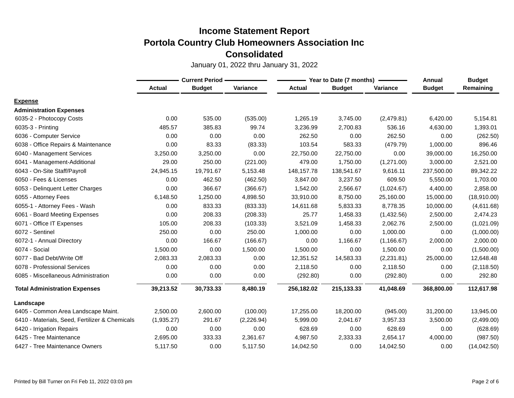|                                                | <b>Current Period -</b> |               |             |               | Year to Date (7 months) | Annual      | <b>Budget</b> |              |
|------------------------------------------------|-------------------------|---------------|-------------|---------------|-------------------------|-------------|---------------|--------------|
|                                                | <b>Actual</b>           | <b>Budget</b> | Variance    | <b>Actual</b> | <b>Budget</b>           | Variance    | <b>Budget</b> | Remaining    |
| <b>Expense</b>                                 |                         |               |             |               |                         |             |               |              |
| <b>Administration Expenses</b>                 |                         |               |             |               |                         |             |               |              |
| 6035-2 - Photocopy Costs                       | 0.00                    | 535.00        | (535.00)    | 1,265.19      | 3,745.00                | (2,479.81)  | 6,420.00      | 5,154.81     |
| 6035-3 - Printing                              | 485.57                  | 385.83        | 99.74       | 3,236.99      | 2,700.83                | 536.16      | 4,630.00      | 1,393.01     |
| 6036 - Computer Service                        | 0.00                    | 0.00          | 0.00        | 262.50        | 0.00                    | 262.50      | 0.00          | (262.50)     |
| 6038 - Office Repairs & Maintenance            | 0.00                    | 83.33         | (83.33)     | 103.54        | 583.33                  | (479.79)    | 1,000.00      | 896.46       |
| 6040 - Management Services                     | 3,250.00                | 3,250.00      | 0.00        | 22,750.00     | 22,750.00               | 0.00        | 39,000.00     | 16,250.00    |
| 6041 - Management-Additional                   | 29.00                   | 250.00        | (221.00)    | 479.00        | 1,750.00                | (1,271.00)  | 3,000.00      | 2,521.00     |
| 6043 - On-Site Staff/Payroll                   | 24,945.15               | 19,791.67     | 5,153.48    | 148, 157. 78  | 138,541.67              | 9,616.11    | 237,500.00    | 89,342.22    |
| 6050 - Fees & Licenses                         | 0.00                    | 462.50        | (462.50)    | 3,847.00      | 3,237.50                | 609.50      | 5,550.00      | 1,703.00     |
| 6053 - Delinquent Letter Charges               | 0.00                    | 366.67        | (366.67)    | 1,542.00      | 2,566.67                | (1,024.67)  | 4,400.00      | 2,858.00     |
| 6055 - Attorney Fees                           | 6,148.50                | 1,250.00      | 4,898.50    | 33,910.00     | 8,750.00                | 25,160.00   | 15,000.00     | (18,910.00)  |
| 6055-1 - Attorney Fees - Wash                  | 0.00                    | 833.33        | (833.33)    | 14,611.68     | 5,833.33                | 8,778.35    | 10,000.00     | (4,611.68)   |
| 6061 - Board Meeting Expenses                  | 0.00                    | 208.33        | (208.33)    | 25.77         | 1,458.33                | (1,432.56)  | 2,500.00      | 2,474.23     |
| 6071 - Office IT Expenses                      | 105.00                  | 208.33        | (103.33)    | 3,521.09      | 1,458.33                | 2,062.76    | 2,500.00      | (1,021.09)   |
| 6072 - Sentinel                                | 250.00                  | 0.00          | 250.00      | 1,000.00      | 0.00                    | 1,000.00    | 0.00          | (1,000.00)   |
| 6072-1 - Annual Directory                      | 0.00                    | 166.67        | (166.67)    | 0.00          | 1,166.67                | (1, 166.67) | 2,000.00      | 2,000.00     |
| 6074 - Social                                  | 1,500.00                | 0.00          | 1,500.00    | 1,500.00      | 0.00                    | 1,500.00    | 0.00          | (1,500.00)   |
| 6077 - Bad Debt/Write Off                      | 2,083.33                | 2,083.33      | 0.00        | 12,351.52     | 14,583.33               | (2,231.81)  | 25,000.00     | 12,648.48    |
| 6078 - Professional Services                   | 0.00                    | 0.00          | 0.00        | 2,118.50      | 0.00                    | 2,118.50    | 0.00          | (2, 118.50)  |
| 6085 - Miscellaneous Administration            | 0.00                    | 0.00          | 0.00        | (292.80)      | 0.00                    | (292.80)    | 0.00          | 292.80       |
| <b>Total Administration Expenses</b>           | 39,213.52               | 30,733.33     | 8,480.19    | 256,182.02    | 215,133.33              | 41,048.69   | 368,800.00    | 112,617.98   |
| Landscape                                      |                         |               |             |               |                         |             |               |              |
| 6405 - Common Area Landscape Maint.            | 2,500.00                | 2,600.00      | (100.00)    | 17,255.00     | 18,200.00               | (945.00)    | 31,200.00     | 13,945.00    |
| 6410 - Materials, Seed, Fertilizer & Chemicals | (1,935.27)              | 291.67        | (2, 226.94) | 5,999.00      | 2,041.67                | 3,957.33    | 3,500.00      | (2,499.00)   |
| 6420 - Irrigation Repairs                      | 0.00                    | 0.00          | 0.00        | 628.69        | 0.00                    | 628.69      | 0.00          | (628.69)     |
| 6425 - Tree Maintenance                        | 2,695.00                | 333.33        | 2,361.67    | 4,987.50      | 2,333.33                | 2,654.17    | 4,000.00      | (987.50)     |
| 6427 - Tree Maintenance Owners                 | 5,117.50                | 0.00          | 5,117.50    | 14,042.50     | 0.00                    | 14,042.50   | 0.00          | (14, 042.50) |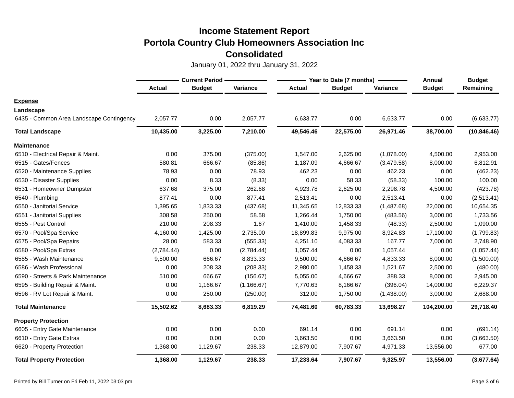|                                          | <b>Current Period -</b> |               |             |               | Year to Date (7 months) | <b>Annual</b> | <b>Budget</b> |              |
|------------------------------------------|-------------------------|---------------|-------------|---------------|-------------------------|---------------|---------------|--------------|
|                                          | <b>Actual</b>           | <b>Budget</b> | Variance    | <b>Actual</b> | <b>Budget</b>           | Variance      | <b>Budget</b> | Remaining    |
| <b>Expense</b>                           |                         |               |             |               |                         |               |               |              |
| Landscape                                |                         |               |             |               |                         |               |               |              |
| 6435 - Common Area Landscape Contingency | 2,057.77                | 0.00          | 2,057.77    | 6,633.77      | 0.00                    | 6,633.77      | 0.00          | (6,633.77)   |
| <b>Total Landscape</b>                   | 10,435.00               | 3,225.00      | 7,210.00    | 49,546.46     | 22,575.00               | 26,971.46     | 38,700.00     | (10, 846.46) |
| <b>Maintenance</b>                       |                         |               |             |               |                         |               |               |              |
| 6510 - Electrical Repair & Maint.        | 0.00                    | 375.00        | (375.00)    | 1,547.00      | 2,625.00                | (1,078.00)    | 4,500.00      | 2,953.00     |
| 6515 - Gates/Fences                      | 580.81                  | 666.67        | (85.86)     | 1,187.09      | 4,666.67                | (3,479.58)    | 8,000.00      | 6,812.91     |
| 6520 - Maintenance Supplies              | 78.93                   | 0.00          | 78.93       | 462.23        | 0.00                    | 462.23        | 0.00          | (462.23)     |
| 6530 - Disaster Supplies                 | 0.00                    | 8.33          | (8.33)      | 0.00          | 58.33                   | (58.33)       | 100.00        | 100.00       |
| 6531 - Homeowner Dumpster                | 637.68                  | 375.00        | 262.68      | 4,923.78      | 2,625.00                | 2,298.78      | 4,500.00      | (423.78)     |
| 6540 - Plumbing                          | 877.41                  | 0.00          | 877.41      | 2,513.41      | 0.00                    | 2,513.41      | 0.00          | (2,513.41)   |
| 6550 - Janitorial Service                | 1,395.65                | 1,833.33      | (437.68)    | 11,345.65     | 12,833.33               | (1,487.68)    | 22,000.00     | 10,654.35    |
| 6551 - Janitorial Supplies               | 308.58                  | 250.00        | 58.58       | 1,266.44      | 1,750.00                | (483.56)      | 3,000.00      | 1,733.56     |
| 6555 - Pest Control                      | 210.00                  | 208.33        | 1.67        | 1,410.00      | 1,458.33                | (48.33)       | 2,500.00      | 1,090.00     |
| 6570 - Pool/Spa Service                  | 4,160.00                | 1,425.00      | 2,735.00    | 18,899.83     | 9,975.00                | 8,924.83      | 17,100.00     | (1,799.83)   |
| 6575 - Pool/Spa Repairs                  | 28.00                   | 583.33        | (555.33)    | 4,251.10      | 4,083.33                | 167.77        | 7,000.00      | 2,748.90     |
| 6580 - Pool/Spa Extras                   | (2,784.44)              | 0.00          | (2,784.44)  | 1,057.44      | 0.00                    | 1,057.44      | 0.00          | (1,057.44)   |
| 6585 - Wash Maintenance                  | 9,500.00                | 666.67        | 8,833.33    | 9,500.00      | 4,666.67                | 4,833.33      | 8,000.00      | (1,500.00)   |
| 6586 - Wash Professional                 | 0.00                    | 208.33        | (208.33)    | 2,980.00      | 1,458.33                | 1,521.67      | 2,500.00      | (480.00)     |
| 6590 - Streets & Park Maintenance        | 510.00                  | 666.67        | (156.67)    | 5,055.00      | 4,666.67                | 388.33        | 8,000.00      | 2,945.00     |
| 6595 - Building Repair & Maint.          | 0.00                    | 1,166.67      | (1, 166.67) | 7,770.63      | 8,166.67                | (396.04)      | 14,000.00     | 6,229.37     |
| 6596 - RV Lot Repair & Maint.            | 0.00                    | 250.00        | (250.00)    | 312.00        | 1,750.00                | (1,438.00)    | 3,000.00      | 2,688.00     |
| <b>Total Maintenance</b>                 | 15,502.62               | 8,683.33      | 6,819.29    | 74,481.60     | 60,783.33               | 13,698.27     | 104,200.00    | 29,718.40    |
| <b>Property Protection</b>               |                         |               |             |               |                         |               |               |              |
| 6605 - Entry Gate Maintenance            | 0.00                    | 0.00          | 0.00        | 691.14        | 0.00                    | 691.14        | 0.00          | (691.14)     |
| 6610 - Entry Gate Extras                 | 0.00                    | 0.00          | 0.00        | 3,663.50      | 0.00                    | 3,663.50      | 0.00          | (3,663.50)   |
| 6620 - Property Protection               | 1,368.00                | 1,129.67      | 238.33      | 12,879.00     | 7,907.67                | 4,971.33      | 13,556.00     | 677.00       |
| <b>Total Property Protection</b>         | 1,368.00                | 1,129.67      | 238.33      | 17,233.64     | 7,907.67                | 9,325.97      | 13,556.00     | (3,677.64)   |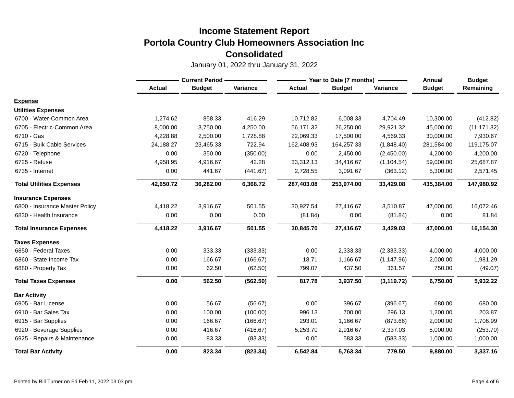|                                 | <b>Current Period -</b> |               |          | Year to Date (7 months) | <b>Annual</b> | <b>Budget</b> |               |              |
|---------------------------------|-------------------------|---------------|----------|-------------------------|---------------|---------------|---------------|--------------|
|                                 | <b>Actual</b>           | <b>Budget</b> | Variance | <b>Actual</b>           | <b>Budget</b> | Variance      | <b>Budget</b> | Remaining    |
| <b>Expense</b>                  |                         |               |          |                         |               |               |               |              |
| <b>Utilities Expenses</b>       |                         |               |          |                         |               |               |               |              |
| 6700 - Water-Common Area        | 1,274.62                | 858.33        | 416.29   | 10,712.82               | 6,008.33      | 4,704.49      | 10,300.00     | (412.82)     |
| 6705 - Electric-Common Area     | 8,000.00                | 3,750.00      | 4,250.00 | 56,171.32               | 26,250.00     | 29,921.32     | 45,000.00     | (11, 171.32) |
| 6710 - Gas                      | 4,228.88                | 2,500.00      | 1,728.88 | 22,069.33               | 17,500.00     | 4,569.33      | 30,000.00     | 7,930.67     |
| 6715 - Bulk Cable Services      | 24,188.27               | 23,465.33     | 722.94   | 162,408.93              | 164,257.33    | (1,848.40)    | 281,584.00    | 119,175.07   |
| 6720 - Telephone                | 0.00                    | 350.00        | (350.00) | 0.00                    | 2,450.00      | (2,450.00)    | 4,200.00      | 4,200.00     |
| 6725 - Refuse                   | 4,958.95                | 4,916.67      | 42.28    | 33,312.13               | 34,416.67     | (1, 104.54)   | 59,000.00     | 25,687.87    |
| 6735 - Internet                 | 0.00                    | 441.67        | (441.67) | 2,728.55                | 3,091.67      | (363.12)      | 5,300.00      | 2,571.45     |
| <b>Total Utilities Expenses</b> | 42,650.72               | 36,282.00     | 6,368.72 | 287,403.08              | 253,974.00    | 33,429.08     | 435,384.00    | 147,980.92   |
| <b>Insurance Expenses</b>       |                         |               |          |                         |               |               |               |              |
| 6800 - Insurance Master Policy  | 4,418.22                | 3,916.67      | 501.55   | 30,927.54               | 27,416.67     | 3,510.87      | 47,000.00     | 16,072.46    |
| 6830 - Health Insurance         | 0.00                    | 0.00          | 0.00     | (81.84)                 | 0.00          | (81.84)       | 0.00          | 81.84        |
| <b>Total Insurance Expenses</b> | 4,418.22                | 3,916.67      | 501.55   | 30,845.70               | 27,416.67     | 3,429.03      | 47,000.00     | 16,154.30    |
| <b>Taxes Expenses</b>           |                         |               |          |                         |               |               |               |              |
| 6850 - Federal Taxes            | 0.00                    | 333.33        | (333.33) | 0.00                    | 2,333.33      | (2, 333.33)   | 4,000.00      | 4,000.00     |
| 6860 - State Income Tax         | 0.00                    | 166.67        | (166.67) | 18.71                   | 1,166.67      | (1, 147.96)   | 2,000.00      | 1,981.29     |
| 6880 - Property Tax             | 0.00                    | 62.50         | (62.50)  | 799.07                  | 437.50        | 361.57        | 750.00        | (49.07)      |
| <b>Total Taxes Expenses</b>     | 0.00                    | 562.50        | (562.50) | 817.78                  | 3,937.50      | (3, 119.72)   | 6,750.00      | 5,932.22     |
| <b>Bar Activity</b>             |                         |               |          |                         |               |               |               |              |
| 6905 - Bar License              | 0.00                    | 56.67         | (56.67)  | 0.00                    | 396.67        | (396.67)      | 680.00        | 680.00       |
| 6910 - Bar Sales Tax            | 0.00                    | 100.00        | (100.00) | 996.13                  | 700.00        | 296.13        | 1,200.00      | 203.87       |
| 6915 - Bar Supplies             | 0.00                    | 166.67        | (166.67) | 293.01                  | 1,166.67      | (873.66)      | 2,000.00      | 1,706.99     |
| 6920 - Beverage Supplies        | 0.00                    | 416.67        | (416.67) | 5,253.70                | 2,916.67      | 2,337.03      | 5,000.00      | (253.70)     |
| 6925 - Repairs & Maintenance    | 0.00                    | 83.33         | (83.33)  | 0.00                    | 583.33        | (583.33)      | 1,000.00      | 1,000.00     |
| <b>Total Bar Activity</b>       | 0.00                    | 823.34        | (823.34) | 6,542.84                | 5,763.34      | 779.50        | 9,880.00      | 3,337.16     |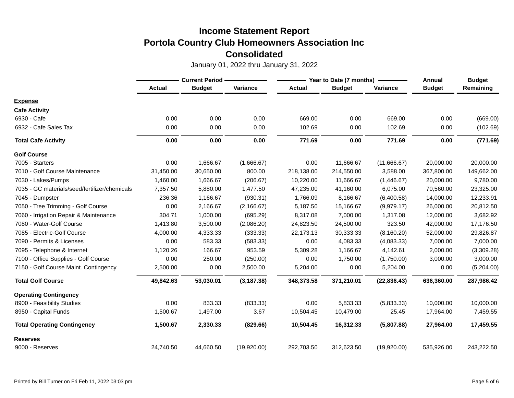|                                               | <b>Current Period</b> |               |             | Year to Date (7 months) |               |              | Annual        | <b>Budget</b> |
|-----------------------------------------------|-----------------------|---------------|-------------|-------------------------|---------------|--------------|---------------|---------------|
|                                               | <b>Actual</b>         | <b>Budget</b> | Variance    | <b>Actual</b>           | <b>Budget</b> | Variance     | <b>Budget</b> | Remaining     |
| <b>Expense</b>                                |                       |               |             |                         |               |              |               |               |
| <b>Cafe Activity</b>                          |                       |               |             |                         |               |              |               |               |
| 6930 - Cafe                                   | 0.00                  | 0.00          | 0.00        | 669.00                  | 0.00          | 669.00       | 0.00          | (669.00)      |
| 6932 - Cafe Sales Tax                         | 0.00                  | 0.00          | 0.00        | 102.69                  | 0.00          | 102.69       | 0.00          | (102.69)      |
| <b>Total Cafe Activity</b>                    | 0.00                  | 0.00          | 0.00        | 771.69                  | 0.00          | 771.69       | 0.00          | (771.69)      |
| <b>Golf Course</b>                            |                       |               |             |                         |               |              |               |               |
| 7005 - Starters                               | 0.00                  | 1,666.67      | (1,666.67)  | 0.00                    | 11,666.67     | (11,666.67)  | 20,000.00     | 20,000.00     |
| 7010 - Golf Course Maintenance                | 31,450.00             | 30,650.00     | 800.00      | 218,138.00              | 214,550.00    | 3,588.00     | 367,800.00    | 149,662.00    |
| 7030 - Lakes/Pumps                            | 1,460.00              | 1,666.67      | (206.67)    | 10,220.00               | 11,666.67     | (1,446.67)   | 20,000.00     | 9,780.00      |
| 7035 - GC materials/seed/fertilizer/chemicals | 7,357.50              | 5,880.00      | 1,477.50    | 47,235.00               | 41,160.00     | 6,075.00     | 70,560.00     | 23,325.00     |
| 7045 - Dumpster                               | 236.36                | 1,166.67      | (930.31)    | 1,766.09                | 8,166.67      | (6,400.58)   | 14,000.00     | 12,233.91     |
| 7050 - Tree Trimming - Golf Course            | 0.00                  | 2,166.67      | (2, 166.67) | 5,187.50                | 15,166.67     | (9,979.17)   | 26,000.00     | 20,812.50     |
| 7060 - Irrigation Repair & Maintenance        | 304.71                | 1,000.00      | (695.29)    | 8,317.08                | 7,000.00      | 1,317.08     | 12,000.00     | 3,682.92      |
| 7080 - Water-Golf Course                      | 1,413.80              | 3,500.00      | (2,086.20)  | 24,823.50               | 24,500.00     | 323.50       | 42,000.00     | 17,176.50     |
| 7085 - Electric-Golf Course                   | 4,000.00              | 4,333.33      | (333.33)    | 22,173.13               | 30,333.33     | (8, 160.20)  | 52,000.00     | 29,826.87     |
| 7090 - Permits & Licenses                     | 0.00                  | 583.33        | (583.33)    | 0.00                    | 4,083.33      | (4,083.33)   | 7,000.00      | 7,000.00      |
| 7095 - Telephone & Internet                   | 1,120.26              | 166.67        | 953.59      | 5,309.28                | 1,166.67      | 4,142.61     | 2,000.00      | (3,309.28)    |
| 7100 - Office Supplies - Golf Course          | 0.00                  | 250.00        | (250.00)    | 0.00                    | 1,750.00      | (1,750.00)   | 3,000.00      | 3,000.00      |
| 7150 - Golf Course Maint. Contingency         | 2,500.00              | 0.00          | 2,500.00    | 5,204.00                | 0.00          | 5,204.00     | 0.00          | (5,204.00)    |
| <b>Total Golf Course</b>                      | 49,842.63             | 53,030.01     | (3, 187.38) | 348,373.58              | 371,210.01    | (22, 836.43) | 636,360.00    | 287,986.42    |
| <b>Operating Contingency</b>                  |                       |               |             |                         |               |              |               |               |
| 8900 - Feasibility Studies                    | 0.00                  | 833.33        | (833.33)    | 0.00                    | 5,833.33      | (5,833.33)   | 10,000.00     | 10,000.00     |
| 8950 - Capital Funds                          | 1,500.67              | 1,497.00      | 3.67        | 10,504.45               | 10,479.00     | 25.45        | 17,964.00     | 7,459.55      |
| <b>Total Operating Contingency</b>            | 1,500.67              | 2,330.33      | (829.66)    | 10,504.45               | 16,312.33     | (5,807.88)   | 27,964.00     | 17,459.55     |
| <b>Reserves</b>                               |                       |               |             |                         |               |              |               |               |
| 9000 - Reserves                               | 24,740.50             | 44,660.50     | (19,920.00) | 292,703.50              | 312,623.50    | (19,920.00)  | 535,926.00    | 243,222.50    |